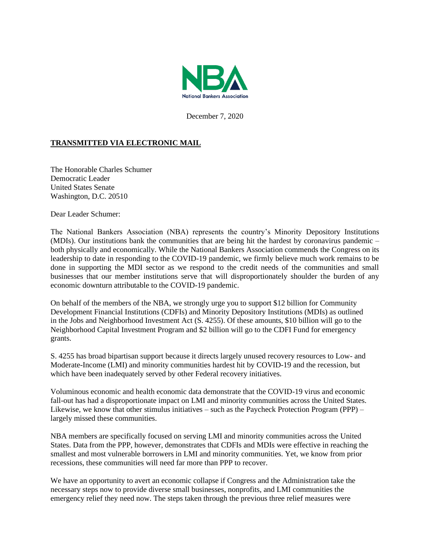

December 7, 2020

## **TRANSMITTED VIA ELECTRONIC MAIL**

The Honorable Charles Schumer Democratic Leader United States Senate Washington, D.C. 20510

Dear Leader Schumer:

The National Bankers Association (NBA) represents the country's Minority Depository Institutions (MDIs). Our institutions bank the communities that are being hit the hardest by coronavirus pandemic – both physically and economically. While the National Bankers Association commends the Congress on its leadership to date in responding to the COVID-19 pandemic, we firmly believe much work remains to be done in supporting the MDI sector as we respond to the credit needs of the communities and small businesses that our member institutions serve that will disproportionately shoulder the burden of any economic downturn attributable to the COVID-19 pandemic.

On behalf of the members of the NBA, we strongly urge you to support \$12 billion for Community Development Financial Institutions (CDFIs) and Minority Depository Institutions (MDIs) as outlined in the Jobs and Neighborhood Investment Act (S. 4255). Of these amounts, \$10 billion will go to the Neighborhood Capital Investment Program and \$2 billion will go to the CDFI Fund for emergency grants.

S. 4255 has broad bipartisan support because it directs largely unused recovery resources to Low- and Moderate-Income (LMI) and minority communities hardest hit by COVID-19 and the recession, but which have been inadequately served by other Federal recovery initiatives.

Voluminous economic and health economic data demonstrate that the COVID-19 virus and economic fall-out has had a disproportionate impact on LMI and minority communities across the United States. Likewise, we know that other stimulus initiatives – such as the Paycheck Protection Program (PPP) – largely missed these communities.

NBA members are specifically focused on serving LMI and minority communities across the United States. Data from the PPP, however, demonstrates that CDFIs and MDIs were effective in reaching the smallest and most vulnerable borrowers in LMI and minority communities. Yet, we know from prior recessions, these communities will need far more than PPP to recover.

We have an opportunity to avert an economic collapse if Congress and the Administration take the necessary steps now to provide diverse small businesses, nonprofits, and LMI communities the emergency relief they need now. The steps taken through the previous three relief measures were